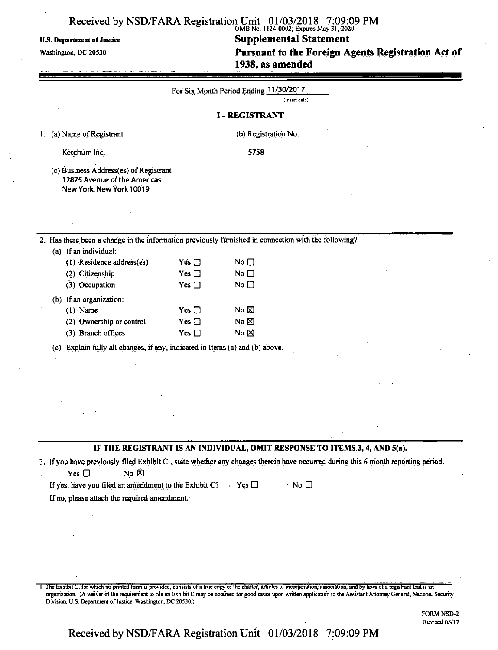# Received by NSD/FARA Registration Unit 01/03/2018 7:09:09 PM<br>
OMB No. 1124-0002: Expires May 31.2020

U.S. Department of Justice Supplemental Statement

Washington, DC 20530 **Pursuant to the Foreign Agents Registration Act of** 1938, as amended

|                                      |                                                                                                                                                                                                                                                       |                                                 | For Six Month Period Ending 11/30/2017                    |                   |  |  |  |
|--------------------------------------|-------------------------------------------------------------------------------------------------------------------------------------------------------------------------------------------------------------------------------------------------------|-------------------------------------------------|-----------------------------------------------------------|-------------------|--|--|--|
| (Insert date)<br><b>I-REGISTRANT</b> |                                                                                                                                                                                                                                                       |                                                 |                                                           |                   |  |  |  |
|                                      | 1. (a) Name of Registrant                                                                                                                                                                                                                             |                                                 | (b) Registration No.                                      |                   |  |  |  |
|                                      | Ketchum Inc.                                                                                                                                                                                                                                          |                                                 | 5758                                                      |                   |  |  |  |
|                                      | (c) Business Address(es) of Registrant<br>12875 Avenue of the Americas<br>New York, New York 10019                                                                                                                                                    |                                                 |                                                           |                   |  |  |  |
|                                      |                                                                                                                                                                                                                                                       |                                                 |                                                           |                   |  |  |  |
|                                      | 2. Has there been a change in the information previously furnished in connection with the following?                                                                                                                                                  |                                                 |                                                           |                   |  |  |  |
|                                      | (a) If an individual:<br>(1) Residence address(es)<br>(2) Citizenship                                                                                                                                                                                 | Yes $\square$<br>Yes $\square$                  | No $\square$<br>No $\square$                              |                   |  |  |  |
|                                      | (3) Occupation                                                                                                                                                                                                                                        | Yes $\square$                                   | No                                                        |                   |  |  |  |
|                                      | (b) If an organization:<br>$(1)$ Name<br>(2) Ownership or control<br>(3) Branch offices                                                                                                                                                               | Yes $\square$<br>Yes $\square$<br>Yes $\square$ | No $\not\blacksquare$<br>No $\boxtimes$<br>No $\boxtimes$ |                   |  |  |  |
|                                      | Explain fully all changes, if any, indicated in Items (a) and (b) above.<br>(c)                                                                                                                                                                       |                                                 |                                                           |                   |  |  |  |
|                                      |                                                                                                                                                                                                                                                       |                                                 |                                                           |                   |  |  |  |
|                                      |                                                                                                                                                                                                                                                       |                                                 |                                                           |                   |  |  |  |
|                                      |                                                                                                                                                                                                                                                       |                                                 |                                                           |                   |  |  |  |
|                                      |                                                                                                                                                                                                                                                       |                                                 |                                                           |                   |  |  |  |
|                                      | IF THE REGISTRANT IS AN INDIVIDUAL, OMIT RESPONSE TO ITEMS 3, 4, AND 5(a).<br>3. If you have previously filed Exhibit C <sup>1</sup> , state whether any changes therein have occurred during this 6 month reporting period.<br>No &<br>Yes $\square$ |                                                 |                                                           |                   |  |  |  |
|                                      | If yes, have you filed an amendment to the Exhibit C? $\blacksquare$ Yes $\square$<br>If no, please attach the required amendment.                                                                                                                    |                                                 |                                                           | $\cdot$ No $\Box$ |  |  |  |
|                                      |                                                                                                                                                                                                                                                       |                                                 |                                                           |                   |  |  |  |
|                                      |                                                                                                                                                                                                                                                       |                                                 |                                                           |                   |  |  |  |

1 The Exhibit C, for which no printed form is provided, consists of a true copy of the charter, articles of incorporation, association, and by laws of a registrant that is an organization. (A waiver ofthe requirement to file an Exhibit C may be obtained for good cause upon written application to the Assistant Attorney General, National Security Division, U.S. Department of Justice, Washington, DC 20530.)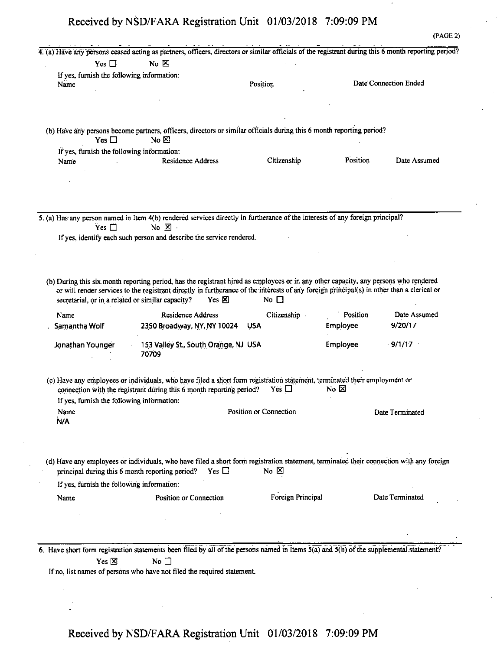(PAGE 2) 4. (a) Have any persons ceased acting as partners, officers, directors or similar officials ofthe registrant during this 6 month reporting period?  $Yes \Box$  No  $\boxtimes$ ifyes, furnish the following information: Name **Name Position Date Connection Ended** (b) Have any persons become partners, officers, directors or similar officials during this 6 month reporting period?  $Yes \Box$  No  $\boxtimes$ If yes, furnish the following information: Name **Residence Address** Citizenship Position Date Assumed 5. (a) Has any person named in Item 4(b) rendered services directly in furtherance of the interests of any foreign principal?<br>  $Yes \Box$  No  $\boxtimes$ If yes, identify each such person and describe the service rendered. (b) During this six month reporting period, has the registrant hired as employees or in any other capacity, any persons who rendered or will render services to the registrant directly in furtherance of the interests of any foreign principal(s) in other than a clerical or secretarial, or in a related or similar capacity? Yes  $\boxtimes$  No  $\square$ Name . Samantha Wolf Residence Address Citizenship 2350 Broadway, NY, NY 10024 USA Position Employee Date Assumed 9/20/17 Jonathan Younger 153 Valley St., South Orange, NJ USA 70709 Employee 9/1/17 (c) Have any employees or individuals, who have filed a short form registration statement, terminated their employment or connection with the registrant during this 6 month reporting period? Yes  $\square$  No  $\square$ If yes, furnish the following information: Name **Position of Connection** Date Terminated Date Terminated N/A (d) Have any employees or individuals, who have filed a short form registration statement, terminated their connection with any foreign principal during this 6 month reporting period? Yes  $\Box$  No  $\boxtimes$ If yes, furnish the following information: Name Position or Connection Foreign Principal Date Terminated 6. Have short form registration statements been filed by all of the persons named in Items  $\overline{S(a)}$  and  $\overline{S(b)}$  of the supplemental statement?  $Yes \boxtimes$  No  $\Box$ If no, list names of persons who have not filed the required statement.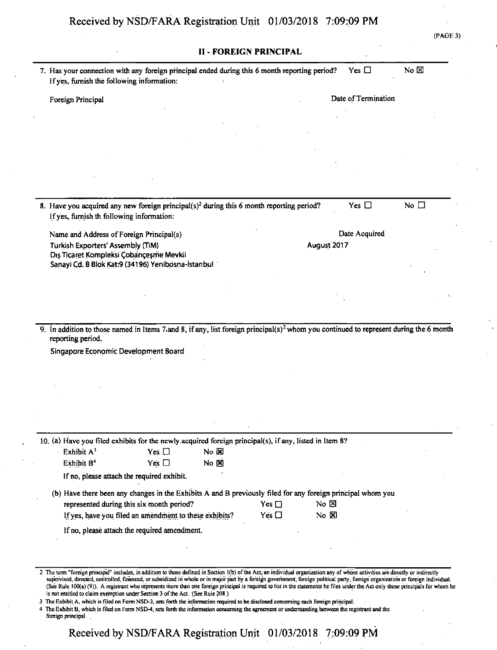| If yes, furnish the following information:                                                                                                                                                                                                                                                                                                                                                                                                                                                                                                                                                                 | Yes $\square$  | No $\boxtimes$ |
|------------------------------------------------------------------------------------------------------------------------------------------------------------------------------------------------------------------------------------------------------------------------------------------------------------------------------------------------------------------------------------------------------------------------------------------------------------------------------------------------------------------------------------------------------------------------------------------------------------|----------------|----------------|
| <b>II - FOREIGN PRINCIPAL</b><br>7. Has your connection with any foreign principal ended during this 6 month reporting period?<br>Date of Termination<br>Foreign Principal<br>Yes $\square$<br>Date Acquired<br>August 2017<br>Dis Ticaret Kompleksi Çobançeşme Mevkii<br>9. In addition to those named in Items 7.and 8, if any, list foreign principal(s) <sup>2</sup> whom you continued to represent during the 6 month<br>10. (a) Have you filed exhibits for the newly acquired foreign principal(s), if any, listed in Item 8?<br>Yes $\Box$<br>No $\overline{\mathbf{x}}$<br>Yes $\square$<br>No & |                |                |
|                                                                                                                                                                                                                                                                                                                                                                                                                                                                                                                                                                                                            |                |                |
|                                                                                                                                                                                                                                                                                                                                                                                                                                                                                                                                                                                                            |                |                |
|                                                                                                                                                                                                                                                                                                                                                                                                                                                                                                                                                                                                            |                |                |
|                                                                                                                                                                                                                                                                                                                                                                                                                                                                                                                                                                                                            |                |                |
|                                                                                                                                                                                                                                                                                                                                                                                                                                                                                                                                                                                                            |                |                |
|                                                                                                                                                                                                                                                                                                                                                                                                                                                                                                                                                                                                            |                |                |
| 8. Have you acquired any new foreign principal(s) <sup>2</sup> during this 6 month reporting period?<br>If yes, furnish th following information:                                                                                                                                                                                                                                                                                                                                                                                                                                                          |                | No $\square$   |
| Name and Address of Foreign Principal(s)                                                                                                                                                                                                                                                                                                                                                                                                                                                                                                                                                                   |                |                |
| Turkish Exporters' Assembly (TiM)                                                                                                                                                                                                                                                                                                                                                                                                                                                                                                                                                                          |                |                |
| Sanayi Cd. B Blok Kat:9 (34196) Yenibosna-İstanbul                                                                                                                                                                                                                                                                                                                                                                                                                                                                                                                                                         |                |                |
|                                                                                                                                                                                                                                                                                                                                                                                                                                                                                                                                                                                                            |                |                |
|                                                                                                                                                                                                                                                                                                                                                                                                                                                                                                                                                                                                            |                |                |
|                                                                                                                                                                                                                                                                                                                                                                                                                                                                                                                                                                                                            |                |                |
|                                                                                                                                                                                                                                                                                                                                                                                                                                                                                                                                                                                                            |                |                |
|                                                                                                                                                                                                                                                                                                                                                                                                                                                                                                                                                                                                            |                |                |
| reporting period.                                                                                                                                                                                                                                                                                                                                                                                                                                                                                                                                                                                          |                |                |
| Singapore Economic Development Board                                                                                                                                                                                                                                                                                                                                                                                                                                                                                                                                                                       |                |                |
|                                                                                                                                                                                                                                                                                                                                                                                                                                                                                                                                                                                                            |                |                |
|                                                                                                                                                                                                                                                                                                                                                                                                                                                                                                                                                                                                            |                |                |
|                                                                                                                                                                                                                                                                                                                                                                                                                                                                                                                                                                                                            |                |                |
|                                                                                                                                                                                                                                                                                                                                                                                                                                                                                                                                                                                                            |                |                |
|                                                                                                                                                                                                                                                                                                                                                                                                                                                                                                                                                                                                            |                |                |
| Exhibit A <sup>3</sup>                                                                                                                                                                                                                                                                                                                                                                                                                                                                                                                                                                                     |                |                |
| Exhibit B <sup>4</sup>                                                                                                                                                                                                                                                                                                                                                                                                                                                                                                                                                                                     |                |                |
| If no, please attach the required exhibit.                                                                                                                                                                                                                                                                                                                                                                                                                                                                                                                                                                 |                |                |
| (b) Have there been any changes in the Exhibits A and B previously filed for any foreign principal whom you                                                                                                                                                                                                                                                                                                                                                                                                                                                                                                |                |                |
| represented during this six month period?<br>Yes $\square$                                                                                                                                                                                                                                                                                                                                                                                                                                                                                                                                                 | No $\boxtimes$ |                |
| If yes, have you filed an amendment to these exhibits?<br>Yes $\square$                                                                                                                                                                                                                                                                                                                                                                                                                                                                                                                                    | $No \times$    |                |
| If no, please attach the required amendment.                                                                                                                                                                                                                                                                                                                                                                                                                                                                                                                                                               |                |                |

supervised, directed, controlled, financed, orsubsidized in whole or in majorpart by a foreign government, foreign political party, foreign organization or foreign individual. (See Rule 100(a) (9)). A registrant who represents more than one foreign principal is required to list in the statements he files under the Act only those principals for whom he is not entitled to claim exemption under Section 3 of the Act. (See Rule 208.)

3 The Exhibit A, which is filed on Form NSD-3, sets forth the information required to be disclosed concerning each foreign principal.

<sup>4</sup> The Exhibit B, which is filed on Form NSD-4, sets forth the information concerning the agreement or understanding between the registrant and the foreign principal.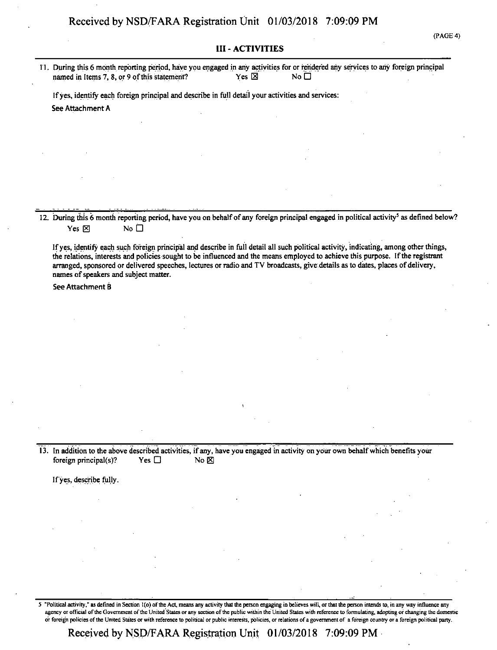### III - ACTIVITIES

11. During this 6 month reporting period, have you engaged in any activities for or rendered any services to any foreign principal named in Items 7, 8, or 9 of this statement? Yes  $\boxtimes$  Yes  $\boxtimes$ 

Ifyes, identify each foreign principal and describe in full detail your activities and services: See Attachment A

12. During this 6 month reporting period, have you on behalf of any foreign principal engaged in political activity<sup>5</sup> as defined below? Yes  $\boxtimes$  No  $\Box$ 

Ifyes, identify each such foreign principal and describe in full detail all such political activity, indicating, among other things, the relations, interests and policies sought to be influenced and the means employed to achieve this purpose. Ifthe registrant arranged, sponsored or delivered speeches, lectures or radio and TV broadcasts, give details as to dates, places ofdelivery, names of speakers and subject matter.

See Attachment <sup>B</sup>

13. In addition to the above described activities, if any, have you engaged in activity on your own behalf which benefits your foreign principal(s)? Yes  $\Box$  No  $\boxtimes$ 

If yes, describe fully.

5 "Political activity," as defined in Section 1(o) of the Act, means any activity that the person engaging in believes will, or that the person intends to, in any way influence any agency or official of the Government of the United States or any section of the public within the United States with reference to formulating, adopting or changing the domestic or foreign policies ofthe United States or with reference to political or public interests, policies, or relations ofa government of a foreign country or a foreign political party.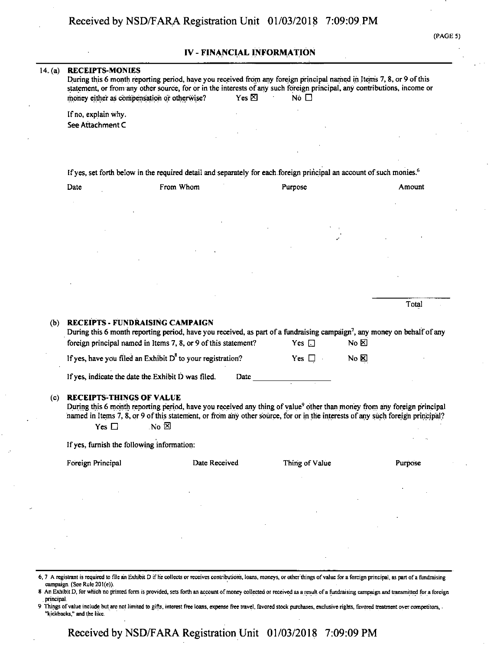### IV - FINANCIAL INFORMATION

# 14. (a) RECEIPTS-MONIES During this 6 month reporting period, have you received from any foreign principal named in Items 7, 8, or 9 of this statement, or from any other source, for or in the interests of any such foreign principal, any contributions, income or money either as compensation or otherwise? Yes  $\boxtimes$  Yes  $\boxtimes$  No  $\Box$ Ifno, explain why. See Attachment C If yes, set forth below in the required detail and separately for each foreign principal an account of such monies.<sup>6</sup> Date **From Whom Purpose Purpose** Amount Total (b) RECEIPTS - FUNDRAISING CAMPAIGN During this 6 month reporting period, have you received, as part of a fundraising campaign<sup>7</sup>, any money on behalf of any foreign principal named in Items 7, 8, or 9 of this statement? Yes  $\Box$  No  $\boxtimes$ If yes, have you filed an Exhibit D<sup>8</sup> to your registration? Yes  $\Box$  No  $\boxtimes$ If yes, indicate the date the Exhibit  $\overline{D}$  was filed. Date (c) RECEIPTS-THINGS OF VALUE During this 6 month reporting period, have you received any thing of value<sup>9</sup> other than money from any foreign principal named in Items 7, 8, or 9 ofthis statement, or from any other source, for or in the interests ofany such foreign principal? Yes  $\Box$  No  $\boxtimes$ If yes, furnish the following information: Foreign Principal **State Date Received** Thing of Value Purpose 6.7 A registrant is required to file an Exhibit D if he collects or receives contributions, loans, moneys, or other things ofvalue for a foreign principal, as part ofa fundraising

campaign. (Sec Rule 201(e)). An Exhibit D, for which no printed form is provided, sets forth an account of money collected or received as a result of a fundraising campaign and transmitted for a foreign . principal.

Things of value include but are not limited to gifts, interest free loans, expense free travel, favored stock purchases, exclusive rights, favored treatment over competitors, "kickbacks." and the like.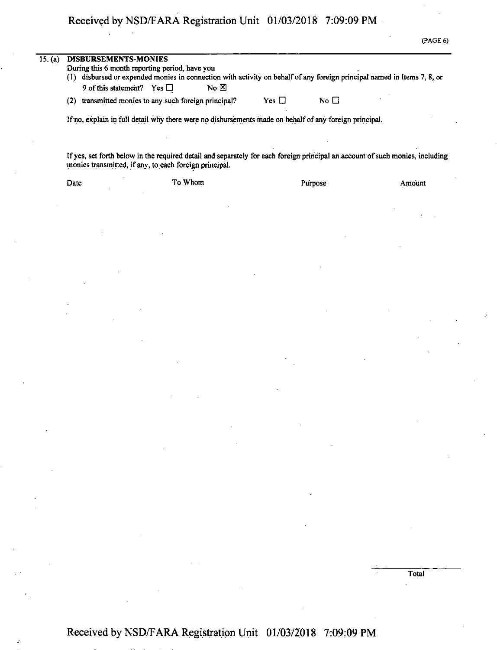| 15. (a) | <b>DISBURSEMENTS-MONIES</b><br>During this 6 month reporting period, have you<br>(1) disbursed or expended monies in connection with activity on behalf of any foreign principal named in Items 7, 8, or<br>9 of this statement? Yes $\Box$<br>$N_0$ $\Sigma$ |      |         |  |  |         |        |
|---------|---------------------------------------------------------------------------------------------------------------------------------------------------------------------------------------------------------------------------------------------------------------|------|---------|--|--|---------|--------|
|         |                                                                                                                                                                                                                                                               |      |         |  |  |         |        |
|         | If no, explain in full detail why there were no disbursements made on behalf of any foreign principal.                                                                                                                                                        |      |         |  |  |         |        |
|         | If yes, set forth below in the required detail and separately for each foreign principal an account of such monies, including<br>monies transmitted, if any, to each foreign principal.                                                                       |      |         |  |  |         |        |
|         |                                                                                                                                                                                                                                                               | Date | To Whom |  |  | Purpose | Amount |
|         |                                                                                                                                                                                                                                                               |      |         |  |  |         |        |
|         |                                                                                                                                                                                                                                                               |      |         |  |  |         |        |
|         |                                                                                                                                                                                                                                                               |      |         |  |  |         |        |

Total

(PAGE 6)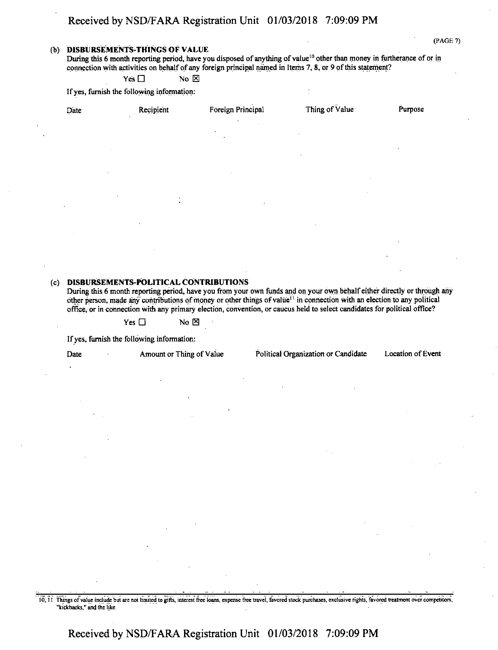#### **(b) DISBURSEMENTS-THINGS OF VALUE**

During this 6 month reporting period, have you disposed of anything of value<sup>10</sup> other than money in furtherance of or in connection with activities on behalf of any foreign principal named in Items 7, 8, or 9 of this statement?

 $Yes \Box$  No  $\boxtimes$ 

Ifyes, furnish the following information:

| Date<br>٠  | Recipient      | Foreign Principal                             | Thing of Value           | Purpose   |
|------------|----------------|-----------------------------------------------|--------------------------|-----------|
|            |                | $\bullet$<br>$\bullet$<br>$\sim$<br>$\bullet$ |                          |           |
| $\sim$     |                | $\ddot{\phantom{0}}$                          |                          | $\bullet$ |
| $\epsilon$ |                | $\sim$                                        | $\sim$                   |           |
| $\sim$     | $\bullet$      |                                               | $\overline{\phantom{a}}$ |           |
| ٠          | $\mathbf{u}$ . | $\sim$                                        |                          |           |

### **(c) DISBURSEMENTS-POLITICAL CONTRIBUTIONS**

During this 6 month reporting period, have you from your own funds and on your own behalf either directly or through any other person, made any contributions of money or other things of value<sup>11</sup> in connection with an election to any political office, or in connection with any primary election, convention, or caucus held to select candidates for political office?

 $Yes \Box$  No  $\boxtimes$ 

Ifyes, furnish the following information:

Date Amount or Thing of Value Political Organization or Candidate Location of Event

10,11 Things ofvalue include but are not limited to gifts, interest free loans, expense free travel, favored stock purchases, exclusive rights, favored treatment over competitors, "kickbacks," and the like.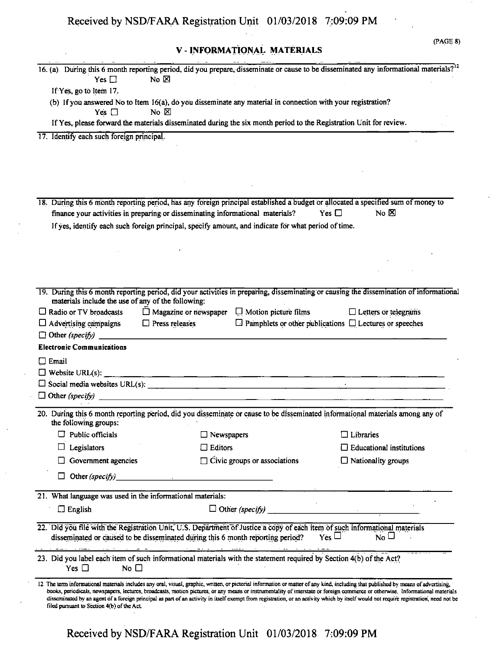**V- INFORMATIONAL MATERIALS**

16. (a) During this 6 month reporting period, did you prepare, disseminate or cause to be disseminated any informational materials?<sup>12</sup>

| Yes $\Box$                                                                                                                                                                                                     | No $\boxtimes$                                           |                              |                                                                                                                                                                                                                                                                                                                                                                                                                                                                                                                                                               |  |
|----------------------------------------------------------------------------------------------------------------------------------------------------------------------------------------------------------------|----------------------------------------------------------|------------------------------|---------------------------------------------------------------------------------------------------------------------------------------------------------------------------------------------------------------------------------------------------------------------------------------------------------------------------------------------------------------------------------------------------------------------------------------------------------------------------------------------------------------------------------------------------------------|--|
| If Yes, go to Item 17.                                                                                                                                                                                         |                                                          |                              |                                                                                                                                                                                                                                                                                                                                                                                                                                                                                                                                                               |  |
| (b) If you answered No to Item 16(a), do you disseminate any material in connection with your registration?                                                                                                    |                                                          |                              |                                                                                                                                                                                                                                                                                                                                                                                                                                                                                                                                                               |  |
| Yes $\Box$<br>If Yes, please forward the materials disseminated during the six month period to the Registration Unit for review.                                                                               | $\overline{N}$ $\overline{N}$                            |                              |                                                                                                                                                                                                                                                                                                                                                                                                                                                                                                                                                               |  |
|                                                                                                                                                                                                                |                                                          |                              |                                                                                                                                                                                                                                                                                                                                                                                                                                                                                                                                                               |  |
| 17. Identify each such foreign principal.                                                                                                                                                                      |                                                          |                              |                                                                                                                                                                                                                                                                                                                                                                                                                                                                                                                                                               |  |
|                                                                                                                                                                                                                |                                                          |                              |                                                                                                                                                                                                                                                                                                                                                                                                                                                                                                                                                               |  |
|                                                                                                                                                                                                                |                                                          |                              |                                                                                                                                                                                                                                                                                                                                                                                                                                                                                                                                                               |  |
|                                                                                                                                                                                                                |                                                          |                              |                                                                                                                                                                                                                                                                                                                                                                                                                                                                                                                                                               |  |
|                                                                                                                                                                                                                |                                                          |                              |                                                                                                                                                                                                                                                                                                                                                                                                                                                                                                                                                               |  |
| finance your activities in preparing or disseminating informational materials?                                                                                                                                 |                                                          |                              | 18. During this 6 month reporting period, has any foreign principal established a budget or allocated a specified sum of money to<br>No $\boxtimes$<br>Yes $\square$                                                                                                                                                                                                                                                                                                                                                                                          |  |
| If yes, identify each such foreign principal, specify amount, and indicate for what period of time.                                                                                                            |                                                          |                              |                                                                                                                                                                                                                                                                                                                                                                                                                                                                                                                                                               |  |
|                                                                                                                                                                                                                |                                                          |                              |                                                                                                                                                                                                                                                                                                                                                                                                                                                                                                                                                               |  |
|                                                                                                                                                                                                                |                                                          |                              |                                                                                                                                                                                                                                                                                                                                                                                                                                                                                                                                                               |  |
|                                                                                                                                                                                                                |                                                          |                              |                                                                                                                                                                                                                                                                                                                                                                                                                                                                                                                                                               |  |
|                                                                                                                                                                                                                |                                                          |                              |                                                                                                                                                                                                                                                                                                                                                                                                                                                                                                                                                               |  |
|                                                                                                                                                                                                                |                                                          |                              | 19. During this 6 month reporting period, did your activities in preparing, disseminating or causing the dissemination of informational                                                                                                                                                                                                                                                                                                                                                                                                                       |  |
| materials include the use of any of the following:                                                                                                                                                             |                                                          |                              |                                                                                                                                                                                                                                                                                                                                                                                                                                                                                                                                                               |  |
| $\Box$ Radio or TV broadcasts                                                                                                                                                                                  | $\Box$ Magazine or newspaper $\Box$ Motion picture films |                              | $\Box$ Letters or telegrams                                                                                                                                                                                                                                                                                                                                                                                                                                                                                                                                   |  |
| $\Box$ Advertising campaigns                                                                                                                                                                                   | $\Box$ Press releases                                    |                              | $\Box$ Pamphlets or other publications $\Box$ Lectures or speeches                                                                                                                                                                                                                                                                                                                                                                                                                                                                                            |  |
| $\Box$ Other (specify)                                                                                                                                                                                         |                                                          |                              |                                                                                                                                                                                                                                                                                                                                                                                                                                                                                                                                                               |  |
| <b>Electronic Communications</b>                                                                                                                                                                               |                                                          |                              |                                                                                                                                                                                                                                                                                                                                                                                                                                                                                                                                                               |  |
| $\Box$ Email                                                                                                                                                                                                   |                                                          |                              |                                                                                                                                                                                                                                                                                                                                                                                                                                                                                                                                                               |  |
|                                                                                                                                                                                                                |                                                          |                              |                                                                                                                                                                                                                                                                                                                                                                                                                                                                                                                                                               |  |
|                                                                                                                                                                                                                |                                                          |                              | $\ddot{\phantom{a}}$                                                                                                                                                                                                                                                                                                                                                                                                                                                                                                                                          |  |
|                                                                                                                                                                                                                |                                                          |                              |                                                                                                                                                                                                                                                                                                                                                                                                                                                                                                                                                               |  |
| the following groups:                                                                                                                                                                                          |                                                          |                              | 20. During this 6 month reporting period, did you disseminate or cause to be disseminated informational materials among any of                                                                                                                                                                                                                                                                                                                                                                                                                                |  |
| $\Box$ Public officials                                                                                                                                                                                        | $\Box$ Newspapers                                        |                              | $\Box$ Libraries<br>$\Box$ Educational institutions                                                                                                                                                                                                                                                                                                                                                                                                                                                                                                           |  |
| Legislators                                                                                                                                                                                                    | Editors                                                  |                              |                                                                                                                                                                                                                                                                                                                                                                                                                                                                                                                                                               |  |
| Government agencies                                                                                                                                                                                            |                                                          | Civic groups or associations | $\Box$ Nationality groups                                                                                                                                                                                                                                                                                                                                                                                                                                                                                                                                     |  |
| □<br>Other (specify)                                                                                                                                                                                           |                                                          |                              |                                                                                                                                                                                                                                                                                                                                                                                                                                                                                                                                                               |  |
| 21. What language was used in the informational materials:                                                                                                                                                     |                                                          |                              |                                                                                                                                                                                                                                                                                                                                                                                                                                                                                                                                                               |  |
| $\square$ English                                                                                                                                                                                              |                                                          | $\Box$ Other (specify)       |                                                                                                                                                                                                                                                                                                                                                                                                                                                                                                                                                               |  |
| 22. Did you file with the Registration Unit, U.S. Department of Justice a copy of each item of such informational materials<br>disseminated or caused to be disseminated during this 6 month reporting period? |                                                          |                              | $Y$ es $\Box$<br>$\overline{N_0}$ $\Box$                                                                                                                                                                                                                                                                                                                                                                                                                                                                                                                      |  |
| 23. Did you label each item of such informational materials with the statement required by Section 4(b) of the Act?<br>No $\square$<br>Yes $\Box$                                                              |                                                          |                              |                                                                                                                                                                                                                                                                                                                                                                                                                                                                                                                                                               |  |
| filed pursuant to Section 4(b) of the Act.                                                                                                                                                                     |                                                          |                              | 12 The term informational materials includes any oral, visual, graphic, written, or pictorial information or matter of any kind, including that published by means of advertising,<br>books, periodicals, newspapers, lectures, broadcasts, motion pictures, or any means or instrumentality of interstate or foreign commerce or otherwise. Informational materials<br>disseminated by an agent of a foreign principal as part of an activity in itself exempt from registration, or an activity which by itself would not require registration, need not be |  |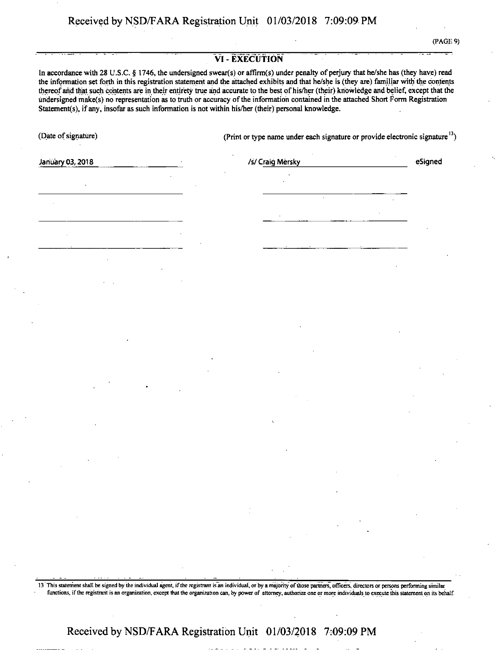(PAGE 9)

#### VI - EXECUTION

In accordance with 28 U.S.C. § 1746, the undersigned swear(s) or affirm(s) under penalty of perjury that he/she has (they have) read the information set forth in this registration statement and the attached exhibits and that he/she is (they are) familiar with' the contents thereofand that such contents are in their entirety true and accurate to the best ofhis/her (their) knowledge and belief, except that the undersigned make(s) no representation as to truth or accuracy of the information contained in the attached Short Form Registration Statement(s), if any, insofar as such information is not within his/her (their) personal knowledge.

(Date of signature) (Print or type name under each signature or provide electronic signature<sup>13</sup>)

January 03,2018 *HI* Craig Mersky eSigned

13 This statement shall be signed by the individual agent, if the registrant is an individual, or by a majority of those partners, officers, directors or persons performing similar functions, if the registrant is an organization, except that the organization can, by power of attorney, authorize one or more individuals to execute this statement on its behalf.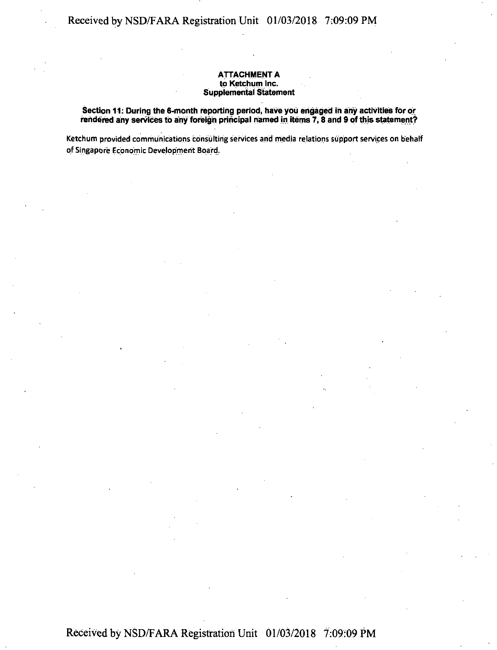#### **ATTACHMENT A to Ketchum Inc. Supplemental Statement**

#### **Section 11: During the 6-month reporting period, have you engaged in any activities for or rendered any services to any foreign principal named in items 7,8 and 9 ofthis statement?**

Ketchum provided communications consulting services and media relations support services on behalf of Singapore Economic Development Board.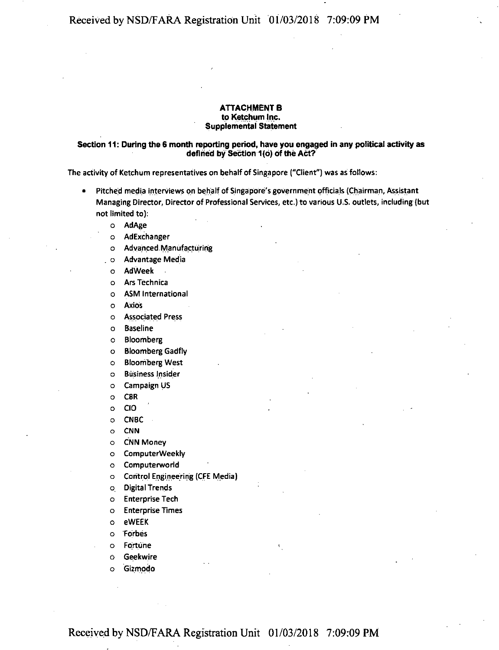#### **ATTACHMENT B to Ketchum Inc. Supplemental Statement**

#### **Section 11: During the 6 month reporting period, have you engaged in any political activity as defined by Section 1(6) ofthe Act?**

The activity of Ketchum representatives on behalf of Singapore ("Client") was as follows:

- Pitched media interviews on behalf of Singapore's government officials (Chairman, Assistant Managing Director, Director of Professional Services, etc.) to various <sup>U</sup> S. outlets, including (but not limited to):
	- o AdAge
	- o AdExchanger
	- o Advanced Manufacturing
	- . o Advantage Media
	- o AdWeek
	- o ArsTechnica
	- o ASM International
	- o Axios
	- o Associated Press
	- o Baseline
	- o Bloomberg
	- o Bloomberg Gadfly
	- o Bloomberg West
	- o Business Insider
	- o Campaign US
	- o CBR
	- o CIO
	- o CNBC
	- o CNN
	- o CNN Money
	- o ComputerWeekly
	- o Computerworld
	- o Control Engineering (CFE Media)
	- o. Digital Trends
	- o Enterprise Tech
	- o Enterprise Times
	- o eWEEK
	- o Forbes
	- o Fortune
	- 6 Geekwire
	- o Gizmodo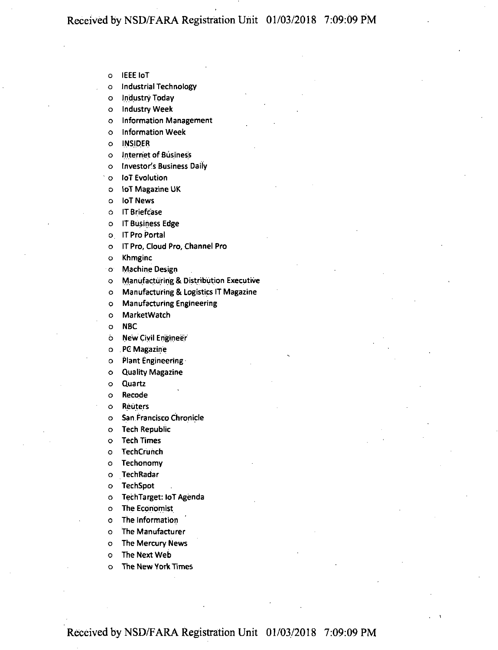o IEEE loT

o Industrial Technology

o Industry Today

o Industry Week

o Information Management

o Information Week

o INSIDER

o Internet of Business

o Investor's Business Daily

o loT Evolution

o loT Magazine UK

o loT News

6 IT Briefcase

o IT Business Edge

o. IT Pro Portal

o IT Pro, Cloud Pro, Channel Pro

o Khmginc

o Machine Design

o Manufacturing & Distribution Executive

o Manufacturing & Logistics IT Magazine

o Manufacturing Engineering

o MarketWatch

o NBC

6 New Civil Engineer

o . PC Magazine

o Plant Engineering

o Quality Magazine

o Quartz

o Recode

o Reuters

o San Francisco Chronicle

o Tech Republic

o Tech Times

o TechCrunch

o Techonomy

o TechRadar

o TechSpot

o TechTarget: loT Agenda

o The Economist

o The Information

o The Manufacturer

o The Mercury News

o The Next Web

o The New York Times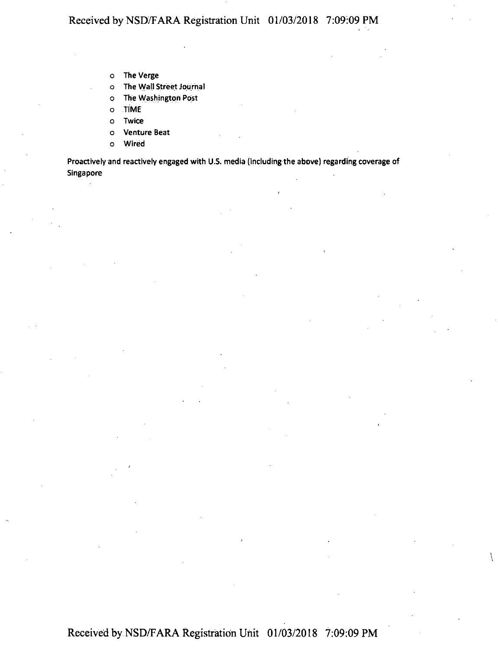- o The Verge
- o The Wall Street Journal
- o The Washington Post
- o TIME
- o Twice
- o Venture Beat
- o Wired

Proactively and reactively engaged with U.S. media (including the above) regarding coverage of Singapore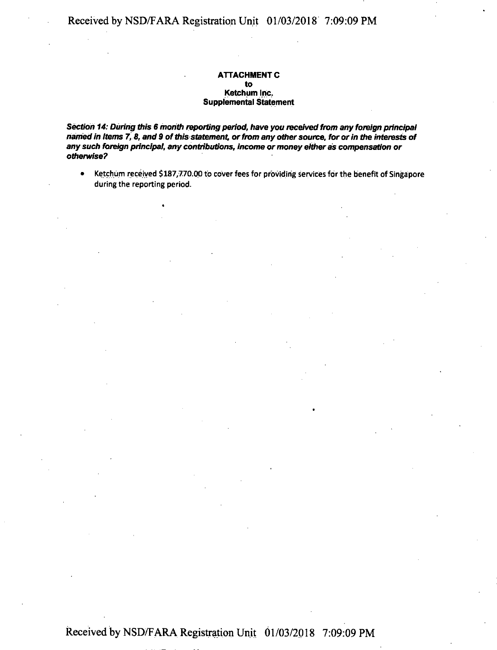#### **ATTACHMENT C to Ketchum Inc. Supplemental Statement**

*Section 14: During this 6 month reporting period, have you received from any foreign principal named in Items 7, 8, and 9 ofthisstatement, orfrom any othersource, for orin the interests of any such foreign principal, any contributions, income ormoney eitheras compensation or otherwise?*

• Ketchum received \$187/770.00 to cover fees for providing services for the benefit of Singapore during the reporting period.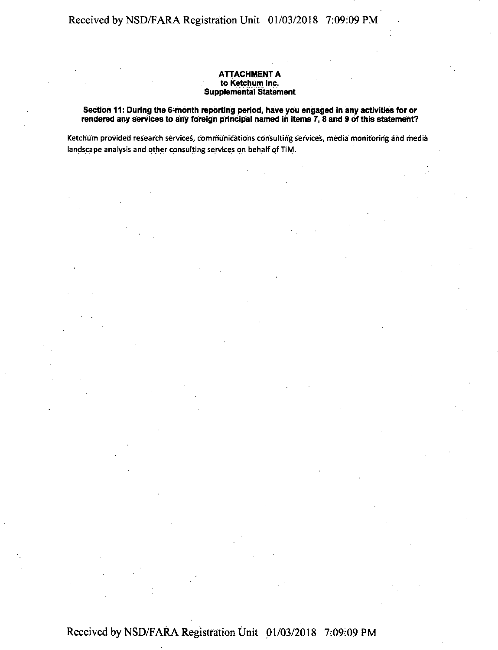#### **ATTACHMENT a to ketchum Inc. Supplemental Statement**

**Section 11: During the 6-month reporting period, have you engaged in any activities for or rendered any services to any foreign principal named in Items 7, 8 and 9 ofthis statement?**

Ketchum provided research services, communications consulting services, media monitoring arid media landscape analysis and other consulting services on behalf of TiM.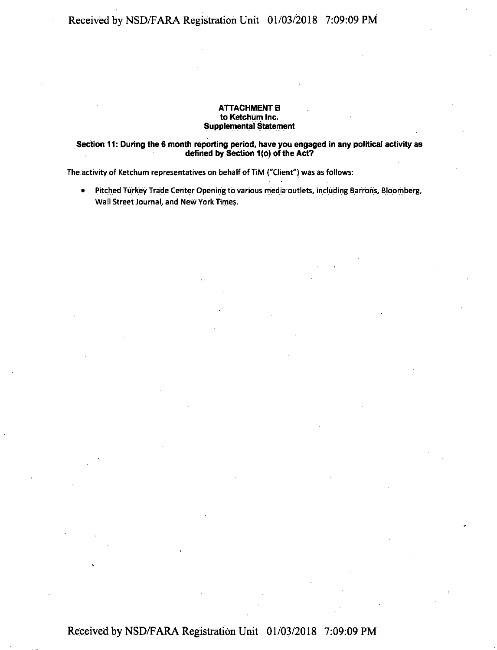#### **ATTACHMENT B to Ketchum Inc. Supplemental Statement**

#### **Section 11: During the 6 month reporting period, have you engaged in any political activity as defined by Section <sup>1</sup> (o) ofthe Act?**

The activity of Ketchum representatives on behalf of TiM ("Client") was as follows:

• Pitched Turkey Trade Center Opening to various media outlets, including Barrons, Bloomberg, Wall Street Journal, and New York Times.